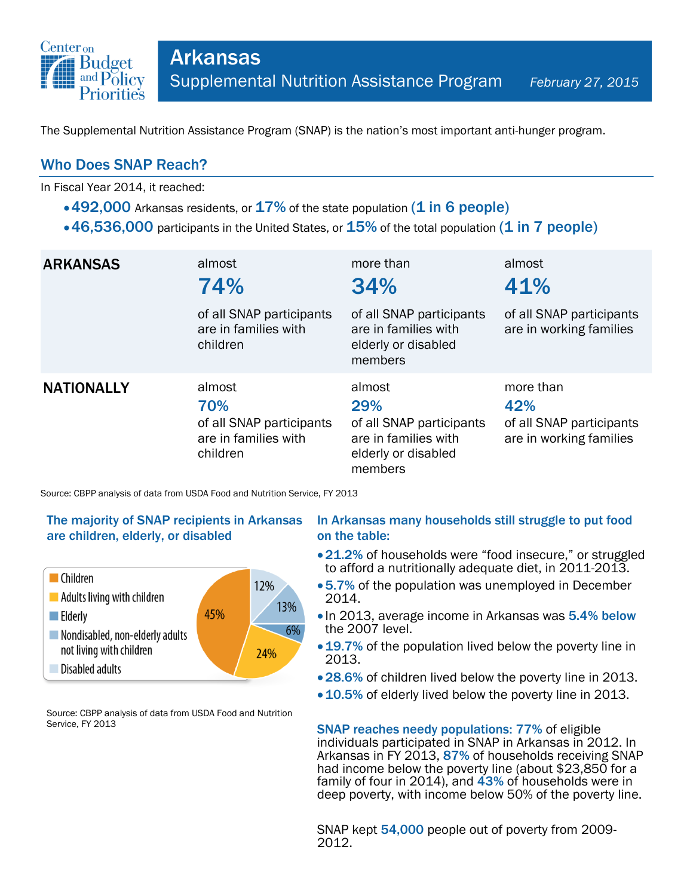

The Supplemental Nutrition Assistance Program (SNAP) is the nation's most important anti-hunger program.

## Who Does SNAP Reach?

In Fiscal Year 2014, it reached:

- $\cdot$  492,000 Arkansas residents, or  $17\%$  of the state population (1 in 6 people)
- $\cdot$  46,536,000 participants in the United States, or  $15\%$  of the total population (1 in 7 people)

| <b>ARKANSAS</b>   | almost<br>74%<br>of all SNAP participants<br>are in families with<br>children | more than<br>34%<br>of all SNAP participants<br>are in families with<br>elderly or disabled<br>members | almost<br>41%<br>of all SNAP participants<br>are in working families    |
|-------------------|-------------------------------------------------------------------------------|--------------------------------------------------------------------------------------------------------|-------------------------------------------------------------------------|
| <b>NATIONALLY</b> | almost<br>70%<br>of all SNAP participants<br>are in families with<br>children | almost<br>29%<br>of all SNAP participants<br>are in families with<br>elderly or disabled<br>members    | more than<br>42%<br>of all SNAP participants<br>are in working families |

Source: CBPP analysis of data from USDA Food and Nutrition Service, FY 2013

### The majority of SNAP recipients in Arkansas are children, elderly, or disabled



Source: CBPP analysis of data from USDA Food and Nutrition Service, FY 2013

#### In Arkansas many households still struggle to put food on the table:

- 21.2% of households were "food insecure," or struggled to afford a nutritionally adequate diet, in 2011-2013.
- 5.7% of the population was unemployed in December 2014.
- In 2013, average income in Arkansas was 5.4% below the 2007 level.
- 19.7% of the population lived below the poverty line in 2013.
- 28.6% of children lived below the poverty line in 2013.
- 10.5% of elderly lived below the poverty line in 2013.

SNAP reaches needy populations: 77% of eligible individuals participated in SNAP in Arkansas in 2012. In Arkansas in FY 2013, 87% of households receiving SNAP had income below the poverty line (about \$23,850 for a family of four in 2014), and 43% of households were in deep poverty, with income below 50% of the poverty line.

SNAP kept 54,000 people out of poverty from 2009- 2012.